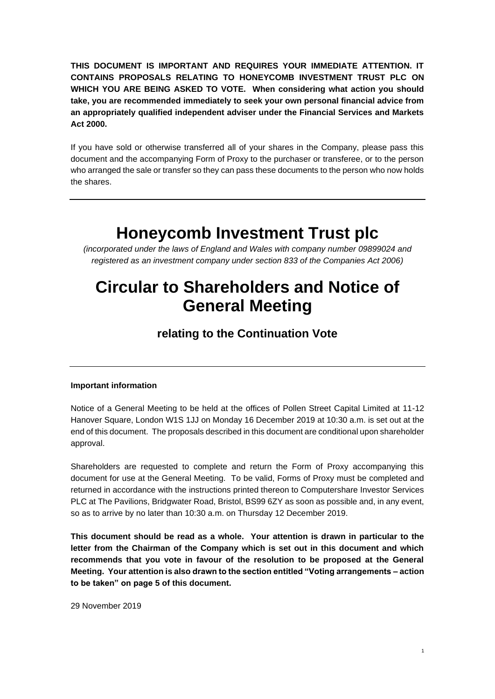**THIS DOCUMENT IS IMPORTANT AND REQUIRES YOUR IMMEDIATE ATTENTION. IT CONTAINS PROPOSALS RELATING TO HONEYCOMB INVESTMENT TRUST PLC ON WHICH YOU ARE BEING ASKED TO VOTE. When considering what action you should take, you are recommended immediately to seek your own personal financial advice from an appropriately qualified independent adviser under the Financial Services and Markets Act 2000.**

If you have sold or otherwise transferred all of your shares in the Company, please pass this document and the accompanying Form of Proxy to the purchaser or transferee, or to the person who arranged the sale or transfer so they can pass these documents to the person who now holds the shares.

# **Honeycomb Investment Trust plc**

*(incorporated under the laws of England and Wales with company number 09899024 and registered as an investment company under section 833 of the Companies Act 2006)*

# **Circular to Shareholders and Notice of General Meeting**

# **relating to the Continuation Vote**

### **Important information**

Notice of a General Meeting to be held at the offices of Pollen Street Capital Limited at 11-12 Hanover Square, London W1S 1JJ on Monday 16 December 2019 at 10:30 a.m. is set out at the end of this document. The proposals described in this document are conditional upon shareholder approval.

Shareholders are requested to complete and return the Form of Proxy accompanying this document for use at the General Meeting. To be valid, Forms of Proxy must be completed and returned in accordance with the instructions printed thereon to Computershare Investor Services PLC at The Pavilions, Bridgwater Road, Bristol, BS99 6ZY as soon as possible and, in any event, so as to arrive by no later than 10:30 a.m. on Thursday 12 December 2019.

**This document should be read as a whole. Your attention is drawn in particular to the letter from the Chairman of the Company which is set out in this document and which recommends that you vote in favour of the resolution to be proposed at the General Meeting. Your attention is also drawn to the section entitled "Voting arrangements – action to be taken" on page 5 of this document.**

1

29 November 2019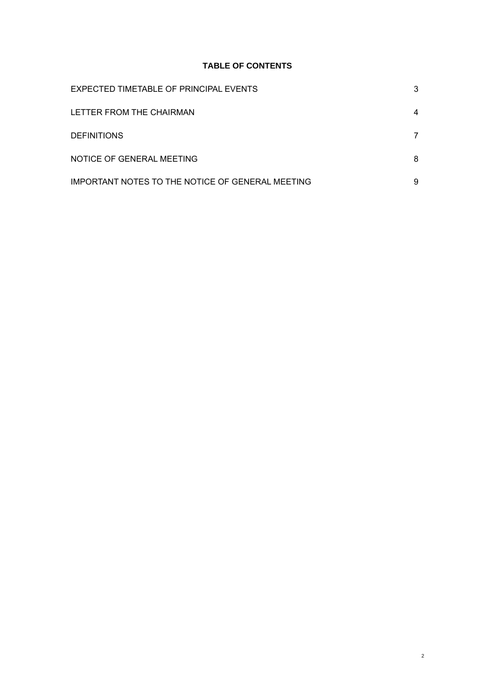## **TABLE OF CONTENTS**

| EXPECTED TIMETABLE OF PRINCIPAL EVENTS           | 3 |
|--------------------------------------------------|---|
| LETTER FROM THE CHAIRMAN                         |   |
| <b>DEFINITIONS</b>                               |   |
| NOTICE OF GENERAL MEETING                        | 8 |
| IMPORTANT NOTES TO THE NOTICE OF GENERAL MEETING | 9 |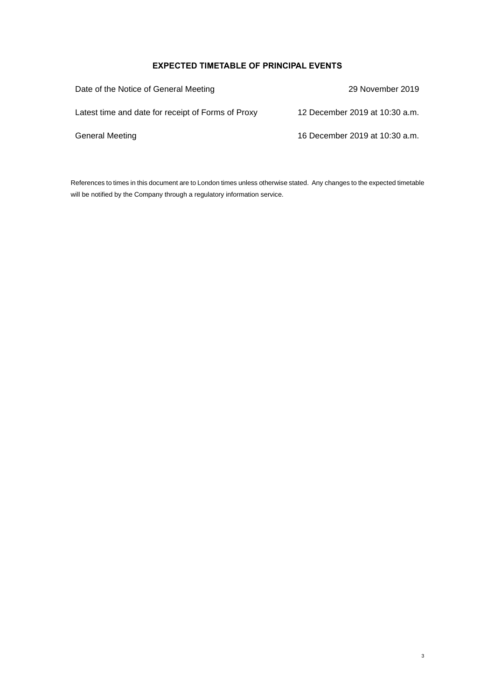# **EXPECTED TIMETABLE OF PRINCIPAL EVENTS**

<span id="page-2-0"></span>

| Date of the Notice of General Meeting              | 29 November 2019               |
|----------------------------------------------------|--------------------------------|
| Latest time and date for receipt of Forms of Proxy | 12 December 2019 at 10:30 a.m. |
| <b>General Meeting</b>                             | 16 December 2019 at 10:30 a.m. |

References to times in this document are to London times unless otherwise stated. Any changes to the expected timetable will be notified by the Company through a regulatory information service.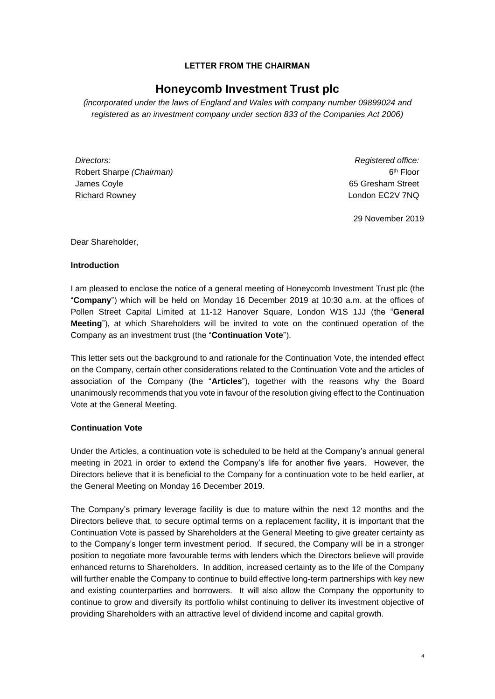### **LETTER FROM THE CHAIRMAN**

# **Honeycomb Investment Trust plc**

<span id="page-3-0"></span>*(incorporated under the laws of England and Wales with company number 09899024 and registered as an investment company under section 833 of the Companies Act 2006)*

*Directors:* Robert Sharpe *(Chairman)* James Coyle Richard Rowney

*Registered office:*  6<sup>th</sup> Floor 65 Gresham Street London EC2V 7NQ

29 November 2019

Dear Shareholder,

#### **Introduction**

I am pleased to enclose the notice of a general meeting of Honeycomb Investment Trust plc (the "**Company**") which will be held on Monday 16 December 2019 at 10:30 a.m. at the offices of Pollen Street Capital Limited at 11-12 Hanover Square, London W1S 1JJ (the "**General Meeting**"), at which Shareholders will be invited to vote on the continued operation of the Company as an investment trust (the "**Continuation Vote**").

This letter sets out the background to and rationale for the Continuation Vote, the intended effect on the Company, certain other considerations related to the Continuation Vote and the articles of association of the Company (the "**Articles**"), together with the reasons why the Board unanimously recommends that you vote in favour of the resolution giving effect to the Continuation Vote at the General Meeting.

### **Continuation Vote**

Under the Articles, a continuation vote is scheduled to be held at the Company's annual general meeting in 2021 in order to extend the Company's life for another five years. However, the Directors believe that it is beneficial to the Company for a continuation vote to be held earlier, at the General Meeting on Monday 16 December 2019.

The Company's primary leverage facility is due to mature within the next 12 months and the Directors believe that, to secure optimal terms on a replacement facility, it is important that the Continuation Vote is passed by Shareholders at the General Meeting to give greater certainty as to the Company's longer term investment period. If secured, the Company will be in a stronger position to negotiate more favourable terms with lenders which the Directors believe will provide enhanced returns to Shareholders. In addition, increased certainty as to the life of the Company will further enable the Company to continue to build effective long-term partnerships with key new and existing counterparties and borrowers. It will also allow the Company the opportunity to continue to grow and diversify its portfolio whilst continuing to deliver its investment objective of providing Shareholders with an attractive level of dividend income and capital growth.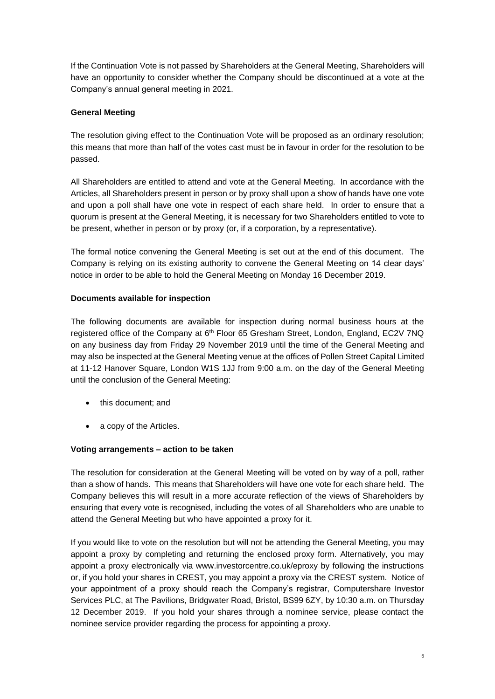If the Continuation Vote is not passed by Shareholders at the General Meeting, Shareholders will have an opportunity to consider whether the Company should be discontinued at a vote at the Company's annual general meeting in 2021.

# **General Meeting**

The resolution giving effect to the Continuation Vote will be proposed as an ordinary resolution; this means that more than half of the votes cast must be in favour in order for the resolution to be passed.

All Shareholders are entitled to attend and vote at the General Meeting. In accordance with the Articles, all Shareholders present in person or by proxy shall upon a show of hands have one vote and upon a poll shall have one vote in respect of each share held. In order to ensure that a quorum is present at the General Meeting, it is necessary for two Shareholders entitled to vote to be present, whether in person or by proxy (or, if a corporation, by a representative).

The formal notice convening the General Meeting is set out at the end of this document. The Company is relying on its existing authority to convene the General Meeting on 14 clear days' notice in order to be able to hold the General Meeting on Monday 16 December 2019.

# **Documents available for inspection**

The following documents are available for inspection during normal business hours at the registered office of the Company at 6<sup>th</sup> Floor 65 Gresham Street, London, England, EC2V 7NQ on any business day from Friday 29 November 2019 until the time of the General Meeting and may also be inspected at the General Meeting venue at the offices of Pollen Street Capital Limited at 11-12 Hanover Square, London W1S 1JJ from 9:00 a.m. on the day of the General Meeting until the conclusion of the General Meeting:

- this document; and
- a copy of the Articles.

# **Voting arrangements – action to be taken**

The resolution for consideration at the General Meeting will be voted on by way of a poll, rather than a show of hands. This means that Shareholders will have one vote for each share held. The Company believes this will result in a more accurate reflection of the views of Shareholders by ensuring that every vote is recognised, including the votes of all Shareholders who are unable to attend the General Meeting but who have appointed a proxy for it.

If you would like to vote on the resolution but will not be attending the General Meeting, you may appoint a proxy by completing and returning the enclosed proxy form. Alternatively, you may appoint a proxy electronically via www.investorcentre.co.uk/eproxy by following the instructions or, if you hold your shares in CREST, you may appoint a proxy via the CREST system. Notice of your appointment of a proxy should reach the Company's registrar, Computershare Investor Services PLC, at The Pavilions, Bridgwater Road, Bristol, BS99 6ZY, by 10:30 a.m. on Thursday 12 December 2019. If you hold your shares through a nominee service, please contact the nominee service provider regarding the process for appointing a proxy.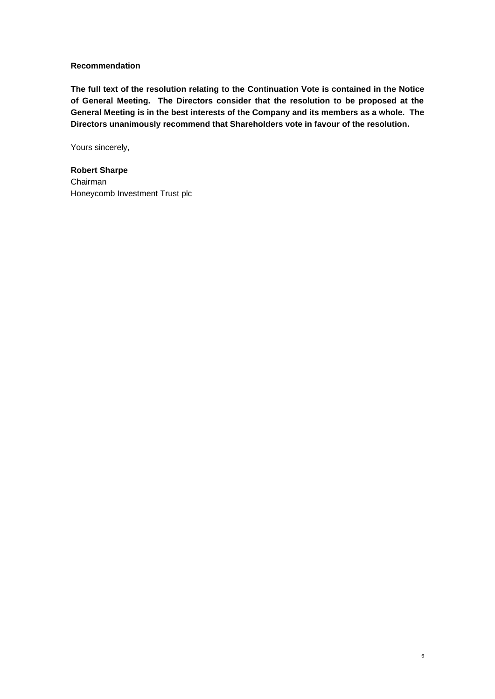### **Recommendation**

**The full text of the resolution relating to the Continuation Vote is contained in the Notice of General Meeting. The Directors consider that the resolution to be proposed at the General Meeting is in the best interests of the Company and its members as a whole. The Directors unanimously recommend that Shareholders vote in favour of the resolution.** 

Yours sincerely,

**Robert Sharpe** Chairman Honeycomb Investment Trust plc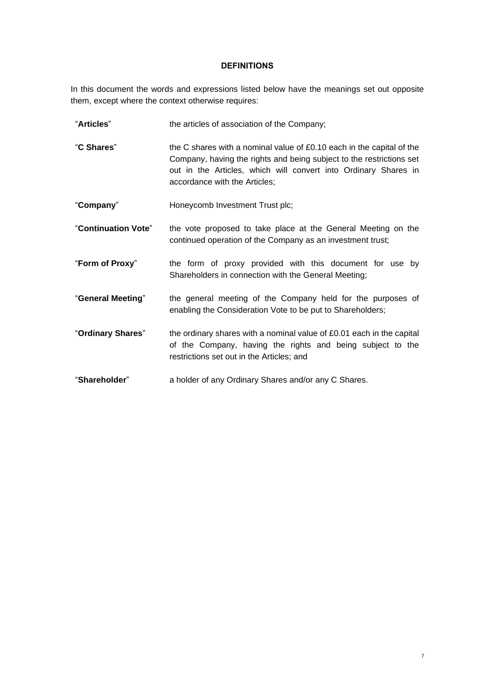#### **DEFINITIONS**

<span id="page-6-0"></span>In this document the words and expressions listed below have the meanings set out opposite them, except where the context otherwise requires:

- "**Articles**" the articles of association of the Company;
- "**C Shares**" the C shares with a nominal value of £0.10 each in the capital of the Company, having the rights and being subject to the restrictions set out in the Articles, which will convert into Ordinary Shares in accordance with the Articles;
- "**Company**" Honeycomb Investment Trust plc;
- "**Continuation Vote**" the vote proposed to take place at the General Meeting on the continued operation of the Company as an investment trust;
- "**Form of Proxy**" the form of proxy provided with this document for use by Shareholders in connection with the General Meeting;
- "**General Meeting**" the general meeting of the Company held for the purposes of enabling the Consideration Vote to be put to Shareholders;
- "**Ordinary Shares**" the ordinary shares with a nominal value of £0.01 each in the capital of the Company, having the rights and being subject to the restrictions set out in the Articles; and

7

"**Shareholder**" a holder of any Ordinary Shares and/or any C Shares.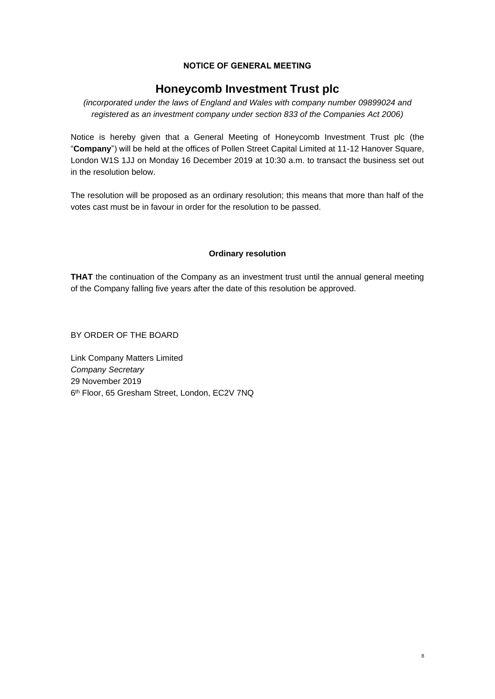### **NOTICE OF GENERAL MEETING**

# **Honeycomb Investment Trust plc**

<span id="page-7-0"></span>*(incorporated under the laws of England and Wales with company number 09899024 and registered as an investment company under section 833 of the Companies Act 2006)*

Notice is hereby given that a General Meeting of Honeycomb Investment Trust plc (the "**Company**") will be held at the offices of Pollen Street Capital Limited at 11-12 Hanover Square, London W1S 1JJ on Monday 16 December 2019 at 10:30 a.m. to transact the business set out in the resolution below.

The resolution will be proposed as an ordinary resolution; this means that more than half of the votes cast must be in favour in order for the resolution to be passed.

### **Ordinary resolution**

**THAT** the continuation of the Company as an investment trust until the annual general meeting of the Company falling five years after the date of this resolution be approved.

BY ORDER OF THE BOARD

Link Company Matters Limited *Company Secretary* 29 November 2019 6 th Floor, 65 Gresham Street, London, EC2V 7NQ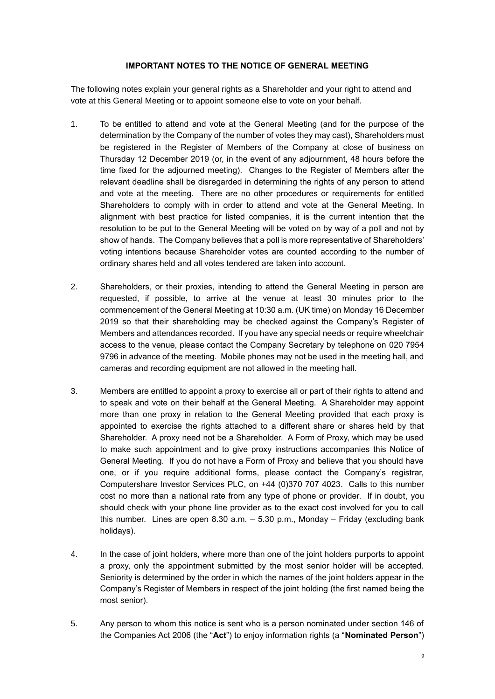#### **IMPORTANT NOTES TO THE NOTICE OF GENERAL MEETING**

<span id="page-8-0"></span>The following notes explain your general rights as a Shareholder and your right to attend and vote at this General Meeting or to appoint someone else to vote on your behalf.

- 1. To be entitled to attend and vote at the General Meeting (and for the purpose of the determination by the Company of the number of votes they may cast), Shareholders must be registered in the Register of Members of the Company at close of business on Thursday 12 December 2019 (or, in the event of any adjournment, 48 hours before the time fixed for the adjourned meeting). Changes to the Register of Members after the relevant deadline shall be disregarded in determining the rights of any person to attend and vote at the meeting. There are no other procedures or requirements for entitled Shareholders to comply with in order to attend and vote at the General Meeting. In alignment with best practice for listed companies, it is the current intention that the resolution to be put to the General Meeting will be voted on by way of a poll and not by show of hands. The Company believes that a poll is more representative of Shareholders' voting intentions because Shareholder votes are counted according to the number of ordinary shares held and all votes tendered are taken into account.
- 2. Shareholders, or their proxies, intending to attend the General Meeting in person are requested, if possible, to arrive at the venue at least 30 minutes prior to the commencement of the General Meeting at 10:30 a.m. (UK time) on Monday 16 December 2019 so that their shareholding may be checked against the Company's Register of Members and attendances recorded. If you have any special needs or require wheelchair access to the venue, please contact the Company Secretary by telephone on 020 7954 9796 in advance of the meeting. Mobile phones may not be used in the meeting hall, and cameras and recording equipment are not allowed in the meeting hall.
- 3. Members are entitled to appoint a proxy to exercise all or part of their rights to attend and to speak and vote on their behalf at the General Meeting. A Shareholder may appoint more than one proxy in relation to the General Meeting provided that each proxy is appointed to exercise the rights attached to a different share or shares held by that Shareholder. A proxy need not be a Shareholder. A Form of Proxy, which may be used to make such appointment and to give proxy instructions accompanies this Notice of General Meeting. If you do not have a Form of Proxy and believe that you should have one, or if you require additional forms, please contact the Company's registrar, Computershare Investor Services PLC, on +44 (0)370 707 4023. Calls to this number cost no more than a national rate from any type of phone or provider. If in doubt, you should check with your phone line provider as to the exact cost involved for you to call this number. Lines are open 8.30 a.m.  $-$  5.30 p.m., Monday  $-$  Friday (excluding bank holidays).
- 4. In the case of joint holders, where more than one of the joint holders purports to appoint a proxy, only the appointment submitted by the most senior holder will be accepted. Seniority is determined by the order in which the names of the joint holders appear in the Company's Register of Members in respect of the joint holding (the first named being the most senior).
- 5. Any person to whom this notice is sent who is a person nominated under section 146 of the Companies Act 2006 (the "**Act**") to enjoy information rights (a "**Nominated Person**")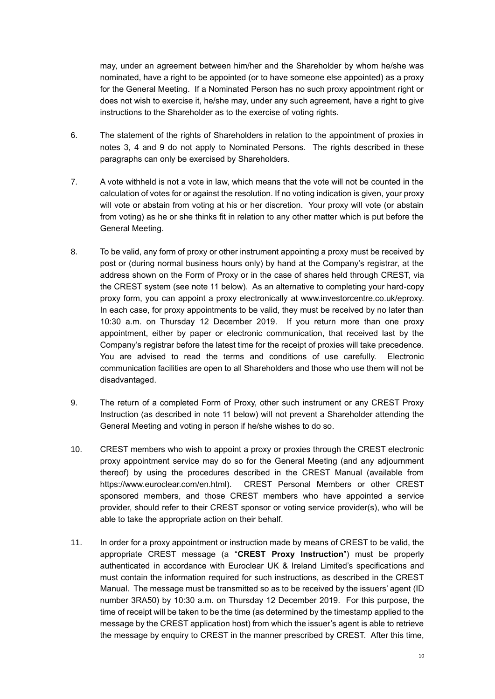may, under an agreement between him/her and the Shareholder by whom he/she was nominated, have a right to be appointed (or to have someone else appointed) as a proxy for the General Meeting. If a Nominated Person has no such proxy appointment right or does not wish to exercise it, he/she may, under any such agreement, have a right to give instructions to the Shareholder as to the exercise of voting rights.

- 6. The statement of the rights of Shareholders in relation to the appointment of proxies in notes 3, 4 and 9 do not apply to Nominated Persons. The rights described in these paragraphs can only be exercised by Shareholders.
- 7. A vote withheld is not a vote in law, which means that the vote will not be counted in the calculation of votes for or against the resolution. If no voting indication is given, your proxy will vote or abstain from voting at his or her discretion. Your proxy will vote (or abstain from voting) as he or she thinks fit in relation to any other matter which is put before the General Meeting.
- 8. To be valid, any form of proxy or other instrument appointing a proxy must be received by post or (during normal business hours only) by hand at the Company's registrar, at the address shown on the Form of Proxy or in the case of shares held through CREST, via the CREST system (see note 11 below). As an alternative to completing your hard-copy proxy form, you can appoint a proxy electronically at www.investorcentre.co.uk/eproxy. In each case, for proxy appointments to be valid, they must be received by no later than 10:30 a.m. on Thursday 12 December 2019. If you return more than one proxy appointment, either by paper or electronic communication, that received last by the Company's registrar before the latest time for the receipt of proxies will take precedence. You are advised to read the terms and conditions of use carefully. Electronic communication facilities are open to all Shareholders and those who use them will not be disadvantaged.
- 9. The return of a completed Form of Proxy, other such instrument or any CREST Proxy Instruction (as described in note 11 below) will not prevent a Shareholder attending the General Meeting and voting in person if he/she wishes to do so.
- 10. CREST members who wish to appoint a proxy or proxies through the CREST electronic proxy appointment service may do so for the General Meeting (and any adjournment thereof) by using the procedures described in the CREST Manual (available from https://www.euroclear.com/en.html). CREST Personal Members or other CREST sponsored members, and those CREST members who have appointed a service provider, should refer to their CREST sponsor or voting service provider(s), who will be able to take the appropriate action on their behalf.
- 11. In order for a proxy appointment or instruction made by means of CREST to be valid, the appropriate CREST message (a "**CREST Proxy Instruction**") must be properly authenticated in accordance with Euroclear UK & Ireland Limited's specifications and must contain the information required for such instructions, as described in the CREST Manual. The message must be transmitted so as to be received by the issuers' agent (ID number 3RA50) by 10:30 a.m. on Thursday 12 December 2019. For this purpose, the time of receipt will be taken to be the time (as determined by the timestamp applied to the message by the CREST application host) from which the issuer's agent is able to retrieve the message by enquiry to CREST in the manner prescribed by CREST. After this time,